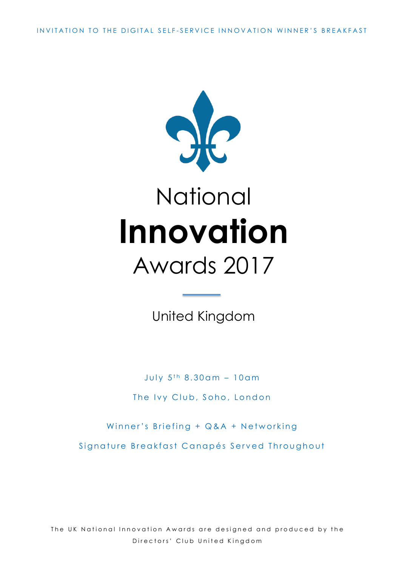INVITATION TO THE DIGITAL SELF - SERVICE INNOVATION WINNER'S BREAKFAST



# **National Innovation** Awards 2017

United Kingdom

July  $5^{th}$  8.30am - 10am The Ivy Club, Soho, London

Winner's Briefing + Q&A + Networking

Signature Breakfast Canapés Served Throughout

The UK National Innovation Awards are designed and produced by the Directors' Club United Kingdom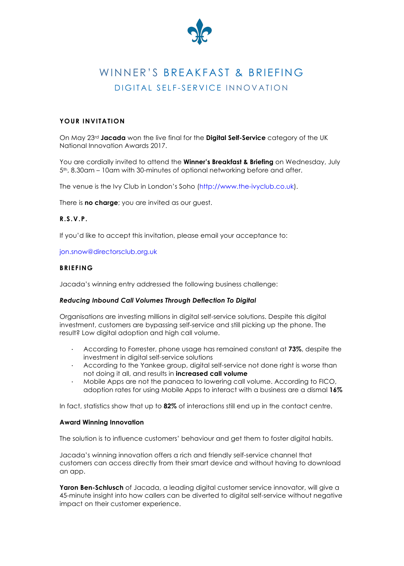

# WINNER'S BREAKFAST & BRIEFING DIGITAL SELF-SERVICE INNOVATION

### **YOUR INVITATION**

On May 23rd **Jacada** won the live final for the **Digital Self-Service** category of the UK National Innovation Awards 2017.

You are cordially invited to attend the **Winner's Breakfast & Briefing** on Wednesday, July 5th, 8.30am – 10am with 30-minutes of optional networking before and after.

The venue is the Ivy Club in London's Soho (http://www.the-ivyclub.co.uk).

There is **no charge**; you are invited as our guest.

#### **R.S.V.P.**

If you'd like to accept this invitation, please email your acceptance to:

#### jon.snow@directorsclub.org.uk

#### **BRIEFING**

Jacada's winning entry addressed the following business challenge:

#### *Reducing Inbound Call Volumes Through Deflection To Digital*

Organisations are investing millions in digital self-service solutions. Despite this digital investment, customers are bypassing self-service and still picking up the phone. The result? Low digital adoption and high call volume.

- · According to Forrester, phone usage has remained constant at **73%**, despite the investment in digital self-service solutions
- · According to the Yankee group, digital self-service not done right is worse than not doing it all, and results in **increased call volume**
- · Mobile Apps are not the panacea to lowering call volume. According to FICO, adoption rates for using Mobile Apps to interact with a business are a dismal **16%**

In fact, statistics show that up to **82%** of interactions still end up in the contact centre.

#### **Award Winning Innovation**

The solution is to influence customers' behaviour and get them to foster digital habits.

Jacada's winning innovation offers a rich and friendly self-service channel that customers can access directly from their smart device and without having to download an app.

Yaron Ben-Schlusch of Jacada, a leading digital customer service innovator, will give a 45-minute insight into how callers can be diverted to digital self-service without negative impact on their customer experience.